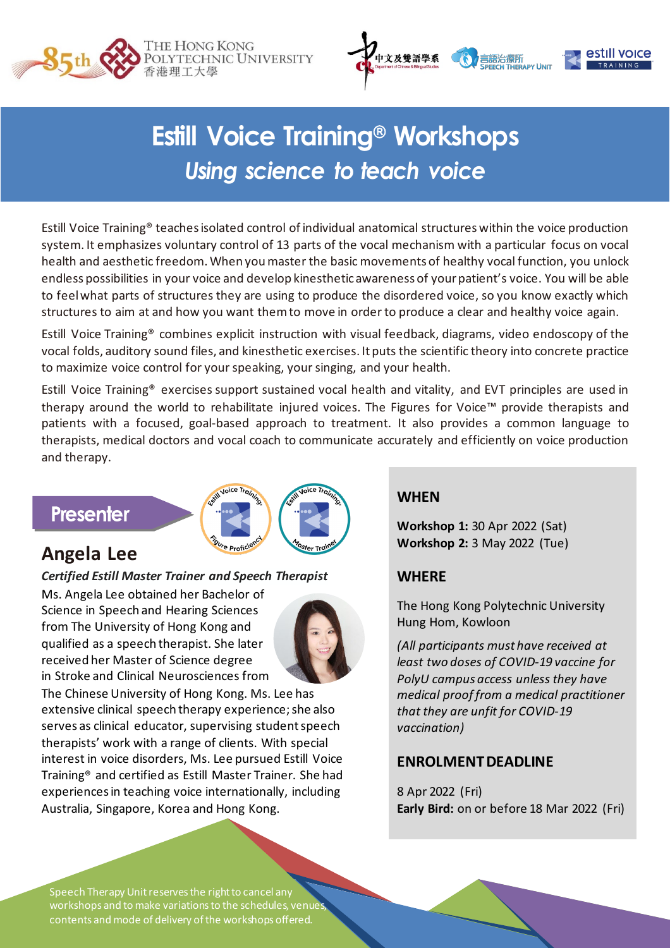



# **Estill Voice Training<sup>®</sup> Workshops** *Using science to teach voice*

Estill Voice Training® teaches isolated control of individual anatomical structures within the voice production system. It emphasizes voluntary control of 13 parts of the vocal mechanism with a particular focus on vocal health and aesthetic freedom. When you master the basic movements of healthy vocal function, you unlock endless possibilities in your voice and develop kinesthetic awareness of your patient's voice. You will be able to feel what parts of structures they are using to produce the disordered voice, so you know exactly which structures to aim at and how you want them to move in order to produce a clear and healthy voice again.

Estill Voice Training® combines explicit instruction with visual feedback, diagrams, video endoscopy of the vocal folds, auditory sound files, and kinesthetic exercises. It puts the scientific theory into concrete practice to maximize voice control for your speaking, your singing, and your health.

Estill Voice Training® exercises support sustained vocal health and vitality, and EVT principles are used in therapy around the world to rehabilitate injured voices. The Figures for Voice™ provide therapists and patients with a focused, goal-based approach to treatment. It also provides a common language to therapists, medical doctors and vocal coach to communicate accurately and efficiently on voice production and therapy.

### **Presenter**



### **Angela Lee**

#### *Certified Estill Master Trainer and Speech Therapist*

Ms. Angela Lee obtained her Bachelor of Science in Speech and Hearing Sciences from The University of Hong Kong and qualified as a speech therapist. She later received her Master of Science degree in Stroke and Clinical Neurosciences from



The Chinese University of Hong Kong. Ms. Lee has extensive clinical speech therapy experience; she also serves as clinical educator, supervising student speech therapists' work with a range of clients. With special interest in voice disorders, Ms. Lee pursued Estill Voice Training® and certified as Estill Master Trainer. She had experiences in teaching voice internationally, including Australia, Singapore, Korea and Hong Kong.

#### **WHEN**

**Workshop 1:** 30 Apr 2022 (Sat) **Workshop 2:** 3 May 2022 (Tue)

#### **WHERE**

The Hong Kong Polytechnic University Hung Hom, Kowloon

*(All participants must have received at least two doses of COVID-19 vaccine for PolyU campus access unless they have medical proof from a medical practitioner that they are unfit for COVID-19 vaccination)*

#### **ENROLMENT DEADLINE**

8 Apr 2022 (Fri) **Early Bird:** on or before 18 Mar 2022 (Fri)

Speech Therapy Unit reserves the right to cancel any workshops and to make variations to the schedules, venue contents and mode of delivery of the workshops offered.